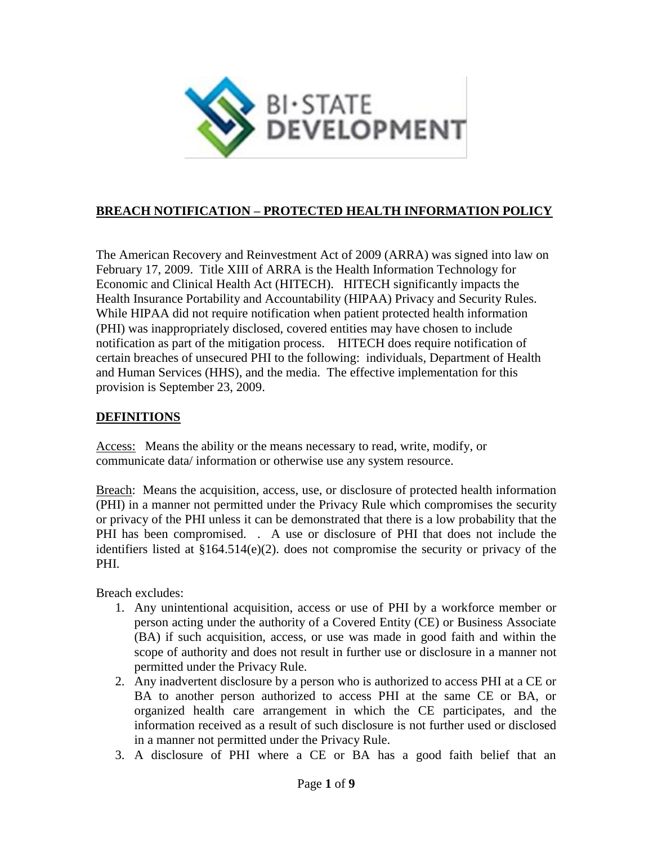

# **BREACH NOTIFICATION – PROTECTED HEALTH INFORMATION POLICY**

The American Recovery and Reinvestment Act of 2009 (ARRA) was signed into law on February 17, 2009. Title XIII of ARRA is the Health Information Technology for Economic and Clinical Health Act (HITECH). HITECH significantly impacts the Health Insurance Portability and Accountability (HIPAA) Privacy and Security Rules. While HIPAA did not require notification when patient protected health information (PHI) was inappropriately disclosed, covered entities may have chosen to include notification as part of the mitigation process. HITECH does require notification of certain breaches of unsecured PHI to the following: individuals, Department of Health and Human Services (HHS), and the media. The effective implementation for this provision is September 23, 2009.

#### **DEFINITIONS**

Access: Means the ability or the means necessary to read, write, modify, or communicate data/ information or otherwise use any system resource.

Breach: Means the acquisition, access, use, or disclosure of protected health information (PHI) in a manner not permitted under the Privacy Rule which compromises the security or privacy of the PHI unless it can be demonstrated that there is a low probability that the PHI has been compromised. . A use or disclosure of PHI that does not include the identifiers listed at §164.514(e)(2). does not compromise the security or privacy of the PHI.

Breach excludes:

- 1. Any unintentional acquisition, access or use of PHI by a workforce member or person acting under the authority of a Covered Entity (CE) or Business Associate (BA) if such acquisition, access, or use was made in good faith and within the scope of authority and does not result in further use or disclosure in a manner not permitted under the Privacy Rule.
- 2. Any inadvertent disclosure by a person who is authorized to access PHI at a CE or BA to another person authorized to access PHI at the same CE or BA, or organized health care arrangement in which the CE participates, and the information received as a result of such disclosure is not further used or disclosed in a manner not permitted under the Privacy Rule.
- 3. A disclosure of PHI where a CE or BA has a good faith belief that an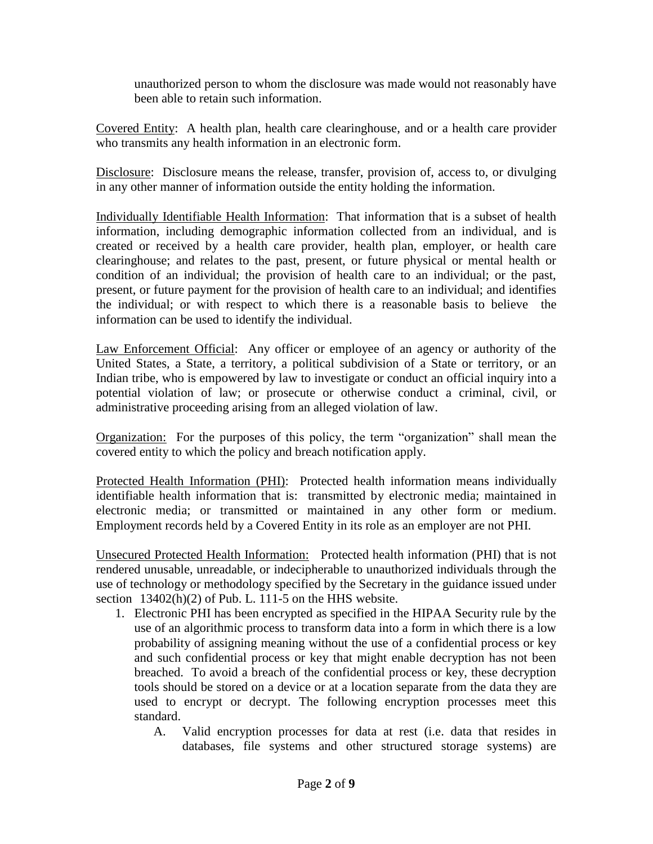unauthorized person to whom the disclosure was made would not reasonably have been able to retain such information.

Covered Entity: A health plan, health care clearinghouse, and or a health care provider who transmits any health information in an electronic form.

Disclosure: Disclosure means the release, transfer, provision of, access to, or divulging in any other manner of information outside the entity holding the information.

Individually Identifiable Health Information: That information that is a subset of health information, including demographic information collected from an individual, and is created or received by a health care provider, health plan, employer, or health care clearinghouse; and relates to the past, present, or future physical or mental health or condition of an individual; the provision of health care to an individual; or the past, present, or future payment for the provision of health care to an individual; and identifies the individual; or with respect to which there is a reasonable basis to believe the information can be used to identify the individual.

Law Enforcement Official: Any officer or employee of an agency or authority of the United States, a State, a territory, a political subdivision of a State or territory, or an Indian tribe, who is empowered by law to investigate or conduct an official inquiry into a potential violation of law; or prosecute or otherwise conduct a criminal, civil, or administrative proceeding arising from an alleged violation of law.

Organization: For the purposes of this policy, the term "organization" shall mean the covered entity to which the policy and breach notification apply.

Protected Health Information (PHI): Protected health information means individually identifiable health information that is: transmitted by electronic media; maintained in electronic media; or transmitted or maintained in any other form or medium. Employment records held by a Covered Entity in its role as an employer are not PHI.

Unsecured Protected Health Information: Protected health information (PHI) that is not rendered unusable, unreadable, or indecipherable to unauthorized individuals through the use of technology or methodology specified by the Secretary in the guidance issued under section  $13402(h)(2)$  of Pub. L. 111-5 on the HHS website.

- 1. Electronic PHI has been encrypted as specified in the HIPAA Security rule by the use of an algorithmic process to transform data into a form in which there is a low probability of assigning meaning without the use of a confidential process or key and such confidential process or key that might enable decryption has not been breached. To avoid a breach of the confidential process or key, these decryption tools should be stored on a device or at a location separate from the data they are used to encrypt or decrypt. The following encryption processes meet this standard.
	- A. Valid encryption processes for data at rest (i.e. data that resides in databases, file systems and other structured storage systems) are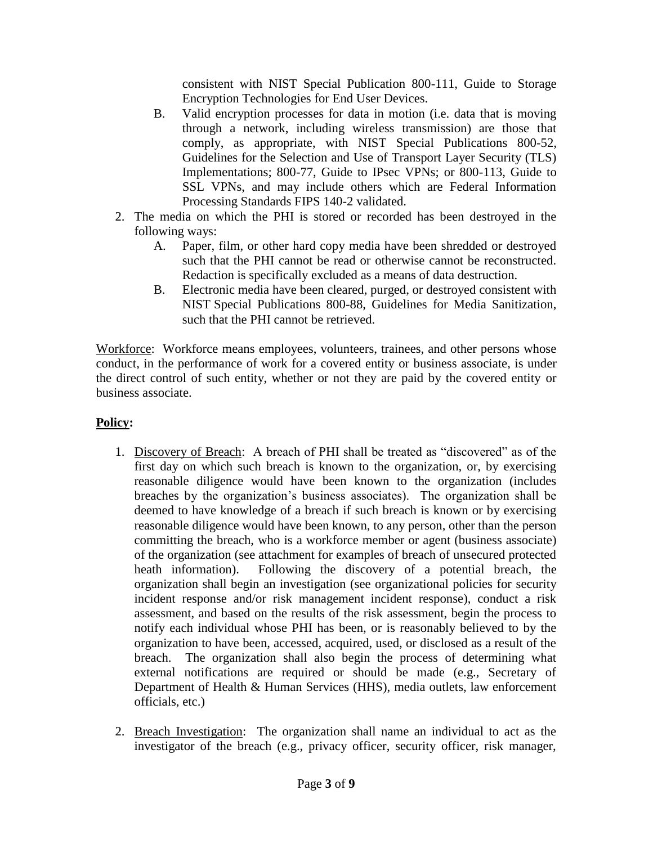consistent with NIST Special Publication 800-111, Guide to Storage Encryption Technologies for End User Devices.

- B. Valid encryption processes for data in motion (i.e. data that is moving through a network, including wireless transmission) are those that comply, as appropriate, with NIST Special Publications 800-52, Guidelines for the Selection and Use of Transport Layer Security (TLS) Implementations; 800-77, Guide to IPsec VPNs; or 800-113, Guide to SSL VPNs, and may include others which are Federal Information Processing Standards FIPS 140-2 validated.
- 2. The media on which the PHI is stored or recorded has been destroyed in the following ways:
	- A. Paper, film, or other hard copy media have been shredded or destroyed such that the PHI cannot be read or otherwise cannot be reconstructed. Redaction is specifically excluded as a means of data destruction.
	- B. Electronic media have been cleared, purged, or destroyed consistent with NIST Special Publications 800-88, Guidelines for Media Sanitization, such that the PHI cannot be retrieved.

Workforce: Workforce means employees, volunteers, trainees, and other persons whose conduct, in the performance of work for a covered entity or business associate, is under the direct control of such entity, whether or not they are paid by the covered entity or business associate.

# **Policy:**

- 1. Discovery of Breach: A breach of PHI shall be treated as "discovered" as of the first day on which such breach is known to the organization, or, by exercising reasonable diligence would have been known to the organization (includes breaches by the organization's business associates). The organization shall be deemed to have knowledge of a breach if such breach is known or by exercising reasonable diligence would have been known, to any person, other than the person committing the breach, who is a workforce member or agent (business associate) of the organization (see attachment for examples of breach of unsecured protected heath information). Following the discovery of a potential breach, the organization shall begin an investigation (see organizational policies for security incident response and/or risk management incident response), conduct a risk assessment, and based on the results of the risk assessment, begin the process to notify each individual whose PHI has been, or is reasonably believed to by the organization to have been, accessed, acquired, used, or disclosed as a result of the breach. The organization shall also begin the process of determining what external notifications are required or should be made (e.g., Secretary of Department of Health & Human Services (HHS), media outlets, law enforcement officials, etc.)
- 2. Breach Investigation: The organization shall name an individual to act as the investigator of the breach (e.g., privacy officer, security officer, risk manager,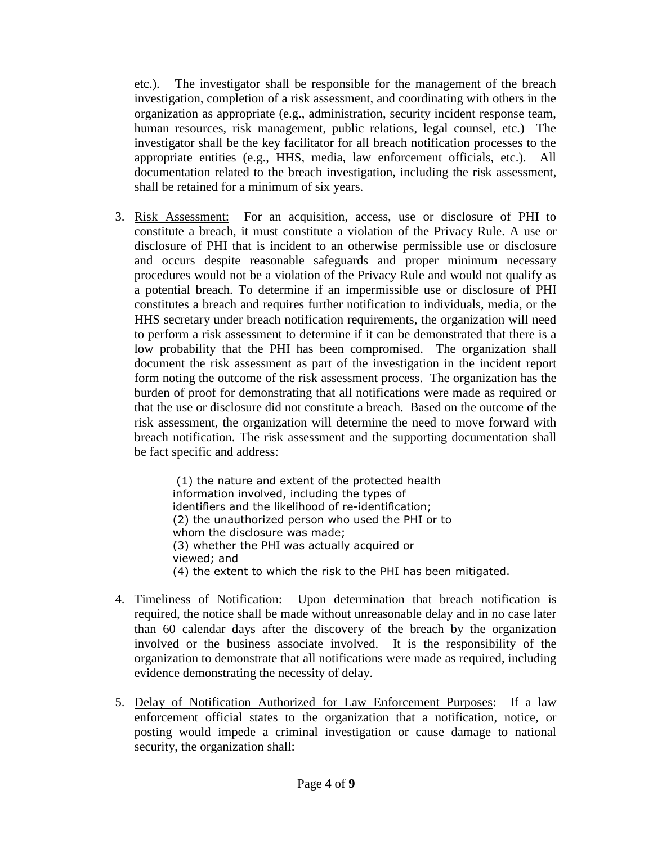etc.). The investigator shall be responsible for the management of the breach investigation, completion of a risk assessment, and coordinating with others in the organization as appropriate (e.g., administration, security incident response team, human resources, risk management, public relations, legal counsel, etc.) The investigator shall be the key facilitator for all breach notification processes to the appropriate entities (e.g., HHS, media, law enforcement officials, etc.). All documentation related to the breach investigation, including the risk assessment, shall be retained for a minimum of six years.

3. Risk Assessment: For an acquisition, access, use or disclosure of PHI to constitute a breach, it must constitute a violation of the Privacy Rule. A use or disclosure of PHI that is incident to an otherwise permissible use or disclosure and occurs despite reasonable safeguards and proper minimum necessary procedures would not be a violation of the Privacy Rule and would not qualify as a potential breach. To determine if an impermissible use or disclosure of PHI constitutes a breach and requires further notification to individuals, media, or the HHS secretary under breach notification requirements, the organization will need to perform a risk assessment to determine if it can be demonstrated that there is a low probability that the PHI has been compromised. The organization shall document the risk assessment as part of the investigation in the incident report form noting the outcome of the risk assessment process. The organization has the burden of proof for demonstrating that all notifications were made as required or that the use or disclosure did not constitute a breach. Based on the outcome of the risk assessment, the organization will determine the need to move forward with breach notification. The risk assessment and the supporting documentation shall be fact specific and address:

> (1) the nature and extent of the protected health information involved, including the types of identifiers and the likelihood of re-identification; (2) the unauthorized person who used the PHI or to whom the disclosure was made; (3) whether the PHI was actually acquired or viewed; and (4) the extent to which the risk to the PHI has been mitigated.

- 4. Timeliness of Notification: Upon determination that breach notification is required, the notice shall be made without unreasonable delay and in no case later than 60 calendar days after the discovery of the breach by the organization involved or the business associate involved. It is the responsibility of the organization to demonstrate that all notifications were made as required, including evidence demonstrating the necessity of delay.
- 5. Delay of Notification Authorized for Law Enforcement Purposes: If a law enforcement official states to the organization that a notification, notice, or posting would impede a criminal investigation or cause damage to national security, the organization shall: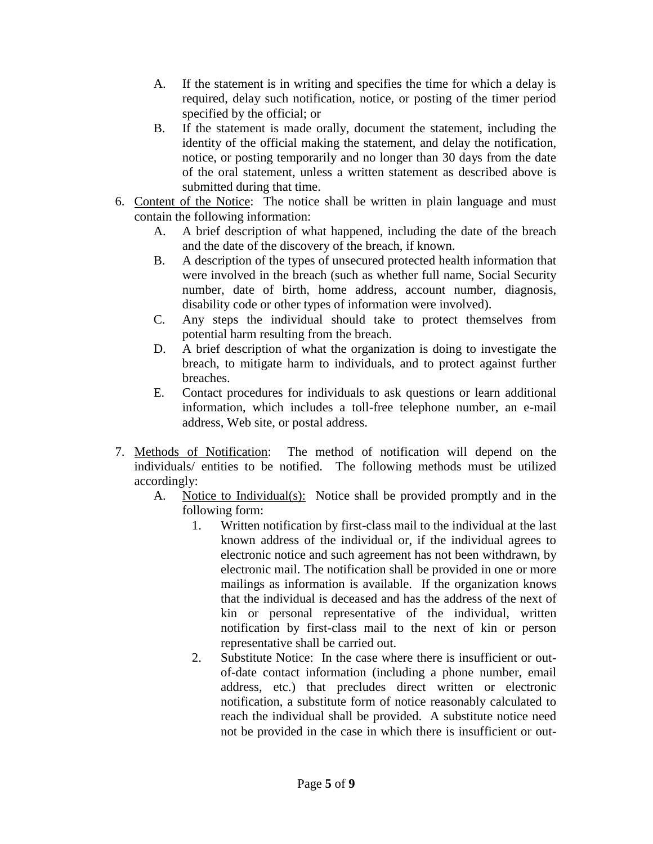- A. If the statement is in writing and specifies the time for which a delay is required, delay such notification, notice, or posting of the timer period specified by the official; or
- B. If the statement is made orally, document the statement, including the identity of the official making the statement, and delay the notification, notice, or posting temporarily and no longer than 30 days from the date of the oral statement, unless a written statement as described above is submitted during that time.
- 6. Content of the Notice: The notice shall be written in plain language and must contain the following information:
	- A. A brief description of what happened, including the date of the breach and the date of the discovery of the breach, if known.
	- B. A description of the types of unsecured protected health information that were involved in the breach (such as whether full name, Social Security number, date of birth, home address, account number, diagnosis, disability code or other types of information were involved).
	- C. Any steps the individual should take to protect themselves from potential harm resulting from the breach.
	- D. A brief description of what the organization is doing to investigate the breach, to mitigate harm to individuals, and to protect against further breaches.
	- E. Contact procedures for individuals to ask questions or learn additional information, which includes a toll-free telephone number, an e-mail address, Web site, or postal address.
- 7. Methods of Notification: The method of notification will depend on the individuals/ entities to be notified. The following methods must be utilized accordingly:
	- A. Notice to Individual(s): Notice shall be provided promptly and in the following form:
		- 1. Written notification by first-class mail to the individual at the last known address of the individual or, if the individual agrees to electronic notice and such agreement has not been withdrawn, by electronic mail. The notification shall be provided in one or more mailings as information is available. If the organization knows that the individual is deceased and has the address of the next of kin or personal representative of the individual, written notification by first-class mail to the next of kin or person representative shall be carried out.
		- 2. Substitute Notice: In the case where there is insufficient or outof-date contact information (including a phone number, email address, etc.) that precludes direct written or electronic notification, a substitute form of notice reasonably calculated to reach the individual shall be provided. A substitute notice need not be provided in the case in which there is insufficient or out-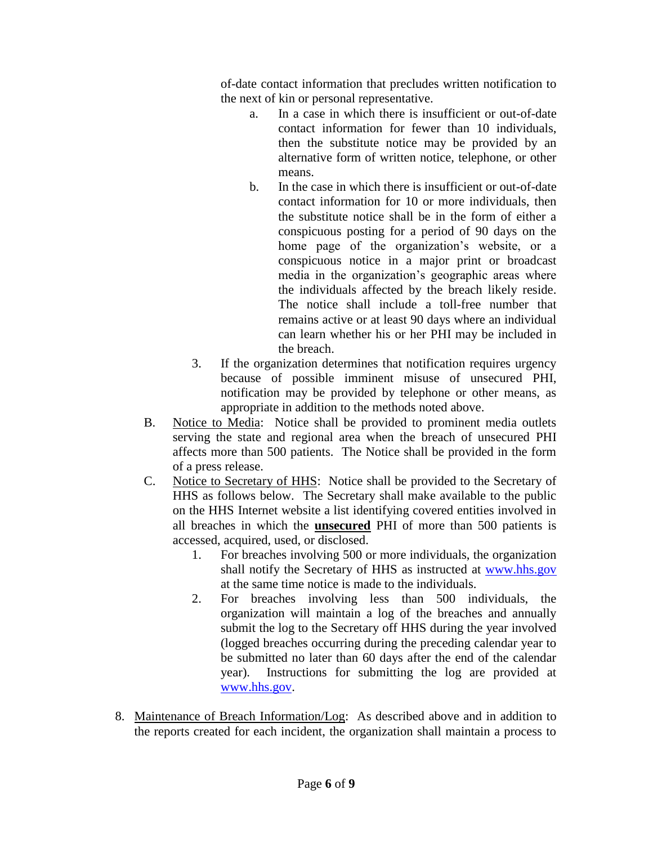of-date contact information that precludes written notification to the next of kin or personal representative.

- a. In a case in which there is insufficient or out-of-date contact information for fewer than 10 individuals, then the substitute notice may be provided by an alternative form of written notice, telephone, or other means.
- b. In the case in which there is insufficient or out-of-date contact information for 10 or more individuals, then the substitute notice shall be in the form of either a conspicuous posting for a period of 90 days on the home page of the organization's website, or a conspicuous notice in a major print or broadcast media in the organization's geographic areas where the individuals affected by the breach likely reside. The notice shall include a toll-free number that remains active or at least 90 days where an individual can learn whether his or her PHI may be included in the breach.
- 3. If the organization determines that notification requires urgency because of possible imminent misuse of unsecured PHI, notification may be provided by telephone or other means, as appropriate in addition to the methods noted above.
- B. Notice to Media: Notice shall be provided to prominent media outlets serving the state and regional area when the breach of unsecured PHI affects more than 500 patients. The Notice shall be provided in the form of a press release.
- C. Notice to Secretary of HHS: Notice shall be provided to the Secretary of HHS as follows below. The Secretary shall make available to the public on the HHS Internet website a list identifying covered entities involved in all breaches in which the **unsecured** PHI of more than 500 patients is accessed, acquired, used, or disclosed.
	- 1. For breaches involving 500 or more individuals, the organization shall notify the Secretary of HHS as instructed at [www.hhs.gov](http://www.hhs.gov/) at the same time notice is made to the individuals.
	- 2. For breaches involving less than 500 individuals, the organization will maintain a log of the breaches and annually submit the log to the Secretary off HHS during the year involved (logged breaches occurring during the preceding calendar year to be submitted no later than 60 days after the end of the calendar year). Instructions for submitting the log are provided at [www.hhs.gov.](http://www.hhs.gov/)
- 8. Maintenance of Breach Information/Log: As described above and in addition to the reports created for each incident, the organization shall maintain a process to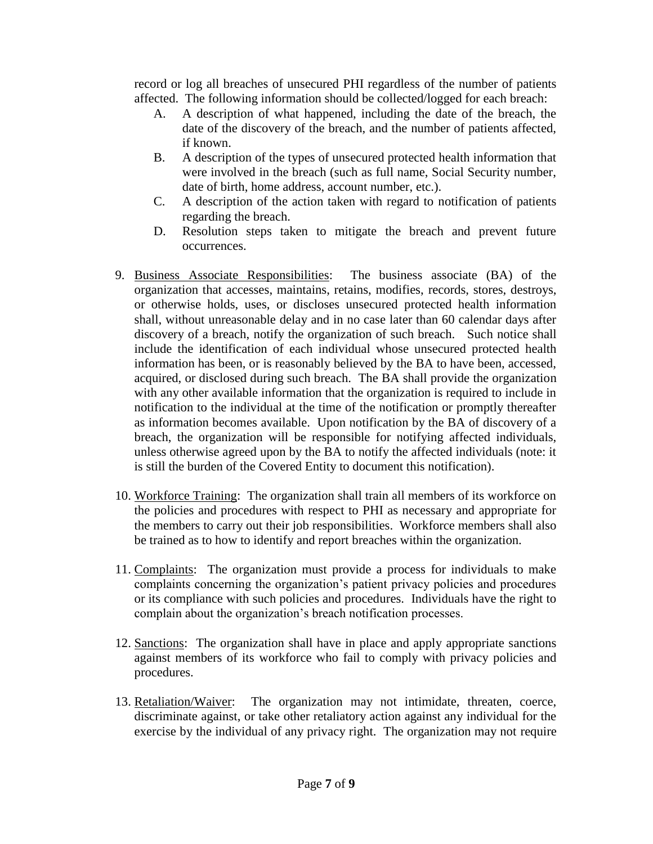record or log all breaches of unsecured PHI regardless of the number of patients affected. The following information should be collected/logged for each breach:

- A. A description of what happened, including the date of the breach, the date of the discovery of the breach, and the number of patients affected, if known.
- B. A description of the types of unsecured protected health information that were involved in the breach (such as full name, Social Security number, date of birth, home address, account number, etc.).
- C. A description of the action taken with regard to notification of patients regarding the breach.
- D. Resolution steps taken to mitigate the breach and prevent future occurrences.
- 9. Business Associate Responsibilities: The business associate (BA) of the organization that accesses, maintains, retains, modifies, records, stores, destroys, or otherwise holds, uses, or discloses unsecured protected health information shall, without unreasonable delay and in no case later than 60 calendar days after discovery of a breach, notify the organization of such breach. Such notice shall include the identification of each individual whose unsecured protected health information has been, or is reasonably believed by the BA to have been, accessed, acquired, or disclosed during such breach. The BA shall provide the organization with any other available information that the organization is required to include in notification to the individual at the time of the notification or promptly thereafter as information becomes available. Upon notification by the BA of discovery of a breach, the organization will be responsible for notifying affected individuals, unless otherwise agreed upon by the BA to notify the affected individuals (note: it is still the burden of the Covered Entity to document this notification).
- 10. Workforce Training: The organization shall train all members of its workforce on the policies and procedures with respect to PHI as necessary and appropriate for the members to carry out their job responsibilities. Workforce members shall also be trained as to how to identify and report breaches within the organization.
- 11. Complaints: The organization must provide a process for individuals to make complaints concerning the organization's patient privacy policies and procedures or its compliance with such policies and procedures. Individuals have the right to complain about the organization's breach notification processes.
- 12. Sanctions: The organization shall have in place and apply appropriate sanctions against members of its workforce who fail to comply with privacy policies and procedures.
- 13. Retaliation/Waiver: The organization may not intimidate, threaten, coerce, discriminate against, or take other retaliatory action against any individual for the exercise by the individual of any privacy right. The organization may not require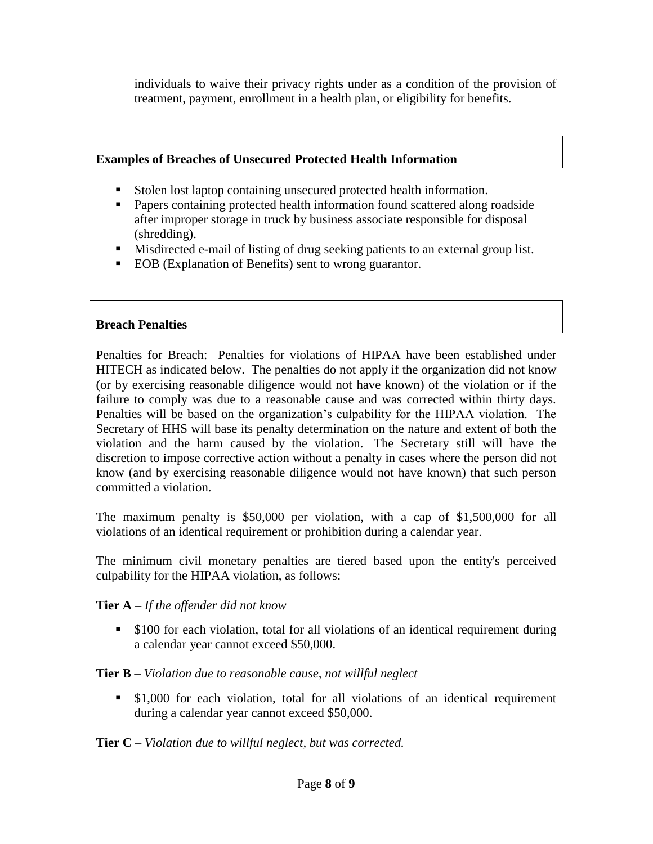individuals to waive their privacy rights under as a condition of the provision of treatment, payment, enrollment in a health plan, or eligibility for benefits.

# **Examples of Breaches of Unsecured Protected Health Information**

- Stolen lost laptop containing unsecured protected health information.
- Papers containing protected health information found scattered along roadside after improper storage in truck by business associate responsible for disposal (shredding).
- Misdirected e-mail of listing of drug seeking patients to an external group list.
- EOB (Explanation of Benefits) sent to wrong guarantor.

## **Breach Penalties**

Penalties for Breach: Penalties for violations of HIPAA have been established under HITECH as indicated below. The penalties do not apply if the organization did not know (or by exercising reasonable diligence would not have known) of the violation or if the failure to comply was due to a reasonable cause and was corrected within thirty days. Penalties will be based on the organization's culpability for the HIPAA violation. The Secretary of HHS will base its penalty determination on the nature and extent of both the violation and the harm caused by the violation. The Secretary still will have the discretion to impose corrective action without a penalty in cases where the person did not know (and by exercising reasonable diligence would not have known) that such person committed a violation.

The maximum penalty is \$50,000 per violation, with a cap of \$1,500,000 for all violations of an identical requirement or prohibition during a calendar year.

The minimum civil monetary penalties are tiered based upon the entity's perceived culpability for the HIPAA violation, as follows:

#### **Tier A** – *If the offender did not know*

**S100** for each violation, total for all violations of an identical requirement during a calendar year cannot exceed \$50,000.

# **Tier B** – *Violation due to reasonable cause, not willful neglect*

 \$1,000 for each violation, total for all violations of an identical requirement during a calendar year cannot exceed \$50,000.

#### **Tier C** – *Violation due to willful neglect, but was corrected.*